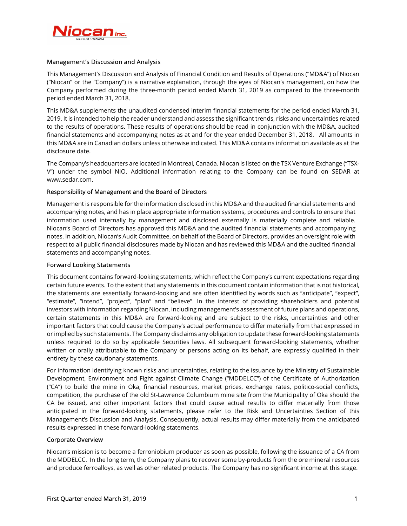

# Management's Discussion and Analysis

This Management's Discussion and Analysis of Financial Condition and Results of Operations ("MD&A") of Niocan ("Niocan" or the "Company") is a narrative explanation, through the eyes of Niocan's management, on how the Company performed during the three-month period ended March 31, 2019 as compared to the three-month period ended March 31, 2018.

This MD&A supplements the unaudited condensed interim financial statements for the period ended March 31, 2019. It is intended to help the reader understand and assess the significant trends, risks and uncertainties related to the results of operations. These results of operations should be read in conjunction with the MD&A, audited financial statements and accompanying notes as at and for the year ended December 31, 2018. All amounts in this MD&A are in Canadian dollars unless otherwise indicated. This MD&A contains information available as at the disclosure date.

The Company's headquarters are located in Montreal, Canada. Niocan is listed on the TSX Venture Exchange ("TSX-V") under the symbol NIO. Additional information relating to the Company can be found on SEDAR at www.sedar.com.

# Responsibility of Management and the Board of Directors

Management is responsible for the information disclosed in this MD&A and the audited financial statements and accompanying notes, and has in place appropriate information systems, procedures and controls to ensure that information used internally by management and disclosed externally is materially complete and reliable. Niocan's Board of Directors has approved this MD&A and the audited financial statements and accompanying notes. In addition, Niocan's Audit Committee, on behalf of the Board of Directors, provides an oversight role with respect to all public financial disclosures made by Niocan and has reviewed this MD&A and the audited financial statements and accompanying notes.

## Forward Looking Statements

This document contains forward-looking statements, which reflect the Company's current expectations regarding certain future events. To the extent that any statements in this document contain information that is not historical, the statements are essentially forward-looking and are often identified by words such as "anticipate", "expect", "estimate", "intend", "project", "plan" and "believe". In the interest of providing shareholders and potential investors with information regarding Niocan, including management's assessment of future plans and operations, certain statements in this MD&A are forward-looking and are subject to the risks, uncertainties and other important factors that could cause the Company's actual performance to differ materially from that expressed in or implied by such statements. The Company disclaims any obligation to update these forward-looking statements unless required to do so by applicable Securities laws. All subsequent forward-looking statements, whether written or orally attributable to the Company or persons acting on its behalf, are expressly qualified in their entirety by these cautionary statements.

For information identifying known risks and uncertainties, relating to the issuance by the Ministry of Sustainable Development, Environment and Fight against Climate Change ("MDDELCC") of the Certificate of Authorization ("CA") to build the mine in Oka, financial resources, market prices, exchange rates, politico-social conflicts, competition, the purchase of the old St-Lawrence Columbium mine site from the Municipality of Oka should the CA be issued, and other important factors that could cause actual results to differ materially from those anticipated in the forward-looking statements, please refer to the Risk and Uncertainties Section of this Management's Discussion and Analysis. Consequently, actual results may differ materially from the anticipated results expressed in these forward-looking statements.

### Corporate Overview

Niocan's mission is to become a ferroniobium producer as soon as possible, following the issuance of a CA from the MDDELCC. In the long term, the Company plans to recover some by-products from the ore mineral resources and produce ferroalloys, as well as other related products. The Company has no significant income at this stage.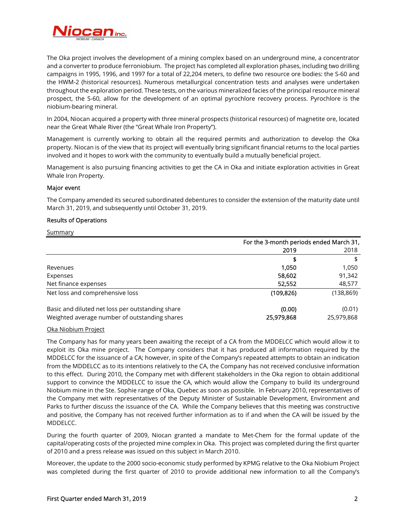

The Oka project involves the development of a mining complex based on an underground mine, a concentrator and a converter to produce ferroniobium. The project has completed all exploration phases, including two drilling campaigns in 1995, 1996, and 1997 for a total of 22,204 meters, to define two resource ore bodies: the S-60 and the HWM-2 (historical resources). Numerous metallurgical concentration tests and analyses were undertaken throughout the exploration period. These tests, on the various mineralized facies of the principal resource mineral prospect, the S-60, allow for the development of an optimal pyrochlore recovery process. Pyrochlore is the niobium-bearing mineral.

In 2004, Niocan acquired a property with three mineral prospects (historical resources) of magnetite ore, located near the Great Whale River (the "Great Whale Iron Property").

Management is currently working to obtain all the required permits and authorization to develop the Oka property. Niocan is of the view that its project will eventually bring significant financial returns to the local parties involved and it hopes to work with the community to eventually build a mutually beneficial project.

Management is also pursuing financing activities to get the CA in Oka and initiate exploration activities in Great Whale Iron Property.

## Major event

The Company amended its secured subordinated debentures to consider the extension of the maturity date until March 31, 2019, and subsequently until October 31, 2019.

### Results of Operations

#### **Summary**

|                                                  | For the 3-month periods ended March 31, |            |
|--------------------------------------------------|-----------------------------------------|------------|
|                                                  | 2019                                    | 2018       |
|                                                  | \$                                      |            |
| Revenues                                         | 1,050                                   | 1,050      |
| Expenses                                         | 58,602                                  | 91,342     |
| Net finance expenses                             | 52,552                                  | 48,577     |
| Net loss and comprehensive loss                  | (109, 826)                              | (138, 869) |
| Basic and diluted net loss per outstanding share | (0.00)                                  | (0.01)     |
| Weighted average number of outstanding shares    | 25,979,868                              | 25,979,868 |

### Oka Niobium Project

The Company has for many years been awaiting the receipt of a CA from the MDDELCC which would allow it to exploit its Oka mine project. The Company considers that it has produced all information required by the MDDELCC for the issuance of a CA; however, in spite of the Company's repeated attempts to obtain an indication from the MDDELCC as to its intentions relatively to the CA, the Company has not received conclusive information to this effect. During 2010, the Company met with different stakeholders in the Oka region to obtain additional support to convince the MDDELCC to issue the CA, which would allow the Company to build its underground Niobium mine in the Ste. Sophie range of Oka, Quebec as soon as possible. In February 2010, representatives of the Company met with representatives of the Deputy Minister of Sustainable Development, Environment and Parks to further discuss the issuance of the CA. While the Company believes that this meeting was constructive and positive, the Company has not received further information as to if and when the CA will be issued by the MDDELCC.

During the fourth quarter of 2009, Niocan granted a mandate to Met-Chem for the formal update of the capital/operating costs of the projected mine complex in Oka. This project was completed during the first quarter of 2010 and a press release was issued on this subject in March 2010.

Moreover, the update to the 2000 socio-economic study performed by KPMG relative to the Oka Niobium Project was completed during the first quarter of 2010 to provide additional new information to all the Company's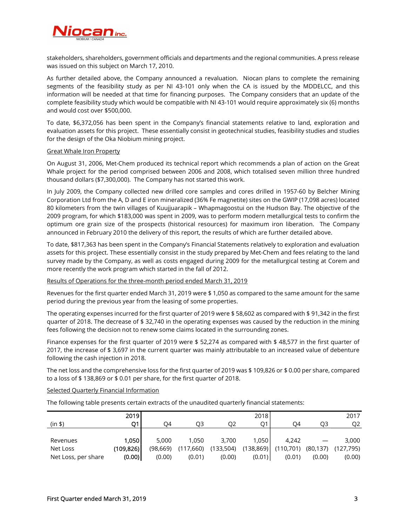

stakeholders, shareholders, government officials and departments and the regional communities. A press release was issued on this subject on March 17, 2010.

As further detailed above, the Company announced a revaluation. Niocan plans to complete the remaining segments of the feasibility study as per NI 43-101 only when the CA is issued by the MDDELCC, and this information will be needed at that time for financing purposes. The Company considers that an update of the complete feasibility study which would be compatible with NI 43-101 would require approximately six (6) months and would cost over \$500,000.

To date, \$6,372,056 has been spent in the Company's financial statements relative to land, exploration and evaluation assets for this project. These essentially consist in geotechnical studies, feasibility studies and studies for the design of the Oka Niobium mining project.

## Great Whale Iron Property

On August 31, 2006, Met-Chem produced its technical report which recommends a plan of action on the Great Whale project for the period comprised between 2006 and 2008, which totalised seven million three hundred thousand dollars (\$7,300,000). The Company has not started this work.

In July 2009, the Company collected new drilled core samples and cores drilled in 1957-60 by Belcher Mining Corporation Ltd from the A, D and E iron mineralized (36% Fe magnetite) sites on the GWIP (17,098 acres) located 80 kilometers from the twin villages of Kuujjuarapik – Whapmagoostui on the Hudson Bay. The objective of the 2009 program, for which \$183,000 was spent in 2009, was to perform modern metallurgical tests to confirm the optimum ore grain size of the prospects (historical resources) for maximum iron liberation. The Company announced in February 2010 the delivery of this report, the results of which are further detailed above.

To date, \$817,363 has been spent in the Company's Financial Statements relatively to exploration and evaluation assets for this project. These essentially consist in the study prepared by Met-Chem and fees relating to the land survey made by the Company, as well as costs engaged during 2009 for the metallurgical testing at Corem and more recently the work program which started in the fall of 2012.

# Results of Operations for the three-month period ended March 31, 2019

Revenues for the first quarter ended March 31, 2019 were \$ 1,050 as compared to the same amount for the same period during the previous year from the leasing of some properties.

The operating expenses incurred for the first quarter of 2019 were \$ 58,602 as compared with \$ 91,342 in the first quarter of 2018. The decrease of \$ 32,740 in the operating expenses was caused by the reduction in the mining fees following the decision not to renew some claims located in the surrounding zones.

Finance expenses for the first quarter of 2019 were \$ 52,274 as compared with \$ 48,577 in the first quarter of 2017, the increase of \$ 3,697 in the current quarter was mainly attributable to an increased value of debenture following the cash injection in 2018.

The net loss and the comprehensive loss for the first quarter of 2019 was \$ 109,826 or \$ 0.00 per share, compared to a loss of \$ 138,869 or \$ 0.01 per share, for the first quarter of 2018.

# Selected Quarterly Financial Information

The following table presents certain extracts of the unaudited quarterly financial statements:

|                     | 2019      |           |           |           | 2018       |           |           | 2017       |
|---------------------|-----------|-----------|-----------|-----------|------------|-----------|-----------|------------|
| (in \$)             | О1        | O4        | OЗ        | O2        | O1         | Ο4        | O3        | O2         |
|                     |           |           |           |           |            |           |           |            |
| Revenues            | 1.050     | 5.000     | 1.050     | 3.700     | 1.050      | 4.242     |           | 3.000      |
| Net Loss            | (109,826) | (98, 669) | (117,660) | (133,504) | (138, 869) | (110,701) | (80, 137) | (127, 795) |
| Net Loss, per share | (0.00)    | (0.00)    | (0.01)    | (0.00)    | (0.01)     | (0.01)    | (0.00)    | (0.00)     |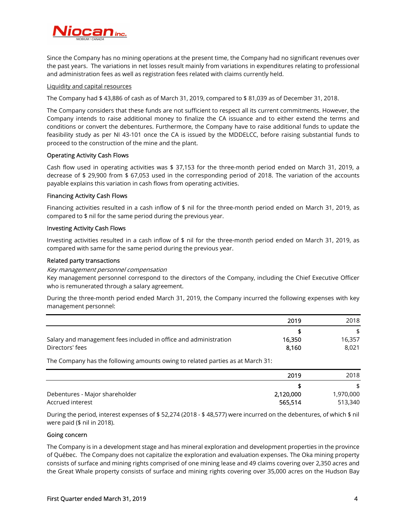

Since the Company has no mining operations at the present time, the Company had no significant revenues over the past years. The variations in net losses result mainly from variations in expenditures relating to professional and administration fees as well as registration fees related with claims currently held.

### Liquidity and capital resources

The Company had \$ 43,886 of cash as of March 31, 2019, compared to \$ 81,039 as of December 31, 2018.

The Company considers that these funds are not sufficient to respect all its current commitments. However, the Company intends to raise additional money to finalize the CA issuance and to either extend the terms and conditions or convert the debentures. Furthermore, the Company have to raise additional funds to update the feasibility study as per NI 43-101 once the CA is issued by the MDDELCC, before raising substantial funds to proceed to the construction of the mine and the plant.

# Operating Activity Cash Flows

Cash flow used in operating activities was \$ 37,153 for the three-month period ended on March 31, 2019, a decrease of \$ 29,900 from \$ 67,053 used in the corresponding period of 2018. The variation of the accounts payable explains this variation in cash flows from operating activities.

## Financing Activity Cash Flows

Financing activities resulted in a cash inflow of \$ nil for the three-month period ended on March 31, 2019, as compared to \$ nil for the same period during the previous year.

### Investing Activity Cash Flows

Investing activities resulted in a cash inflow of \$ nil for the three-month period ended on March 31, 2019, as compared with same for the same period during the previous year.

### Related party transactions

### Key management personnel compensation

Key management personnel correspond to the directors of the Company, including the Chief Executive Officer who is remunerated through a salary agreement.

During the three-month period ended March 31, 2019, the Company incurred the following expenses with key management personnel:

|                                                                  | 2019   | 2018   |
|------------------------------------------------------------------|--------|--------|
|                                                                  |        |        |
| Salary and management fees included in office and administration | 16,350 | 16,357 |
| Directors' fees                                                  | 8.160  | 8.021  |

The Company has the following amounts owing to related parties as at March 31:

|                                | 2019      | 2018      |
|--------------------------------|-----------|-----------|
|                                |           | \$        |
| Debentures - Major shareholder | 2,120,000 | 1,970,000 |
| Accrued interest               | 565,514   | 513,340   |

During the period, interest expenses of \$ 52,274 (2018 - \$ 48,577) were incurred on the debentures, of which \$ nil were paid (\$ nil in 2018).

### Going concern

The Company is in a development stage and has mineral exploration and development properties in the province of Québec. The Company does not capitalize the exploration and evaluation expenses. The Oka mining property consists of surface and mining rights comprised of one mining lease and 49 claims covering over 2,350 acres and the Great Whale property consists of surface and mining rights covering over 35,000 acres on the Hudson Bay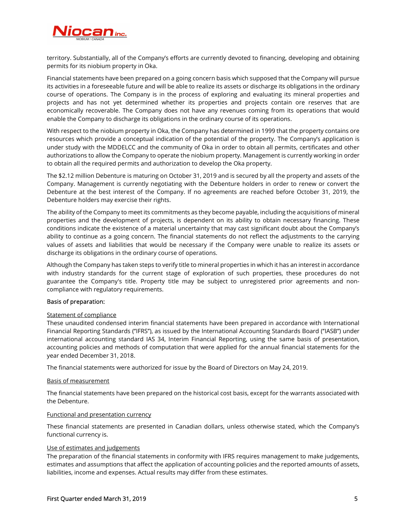

territory. Substantially, all of the Company's efforts are currently devoted to financing, developing and obtaining permits for its niobium property in Oka.

Financial statements have been prepared on a going concern basis which supposed that the Company will pursue its activities in a foreseeable future and will be able to realize its assets or discharge its obligations in the ordinary course of operations. The Company is in the process of exploring and evaluating its mineral properties and projects and has not yet determined whether its properties and projects contain ore reserves that are economically recoverable. The Company does not have any revenues coming from its operations that would enable the Company to discharge its obligations in the ordinary course of its operations.

With respect to the niobium property in Oka, the Company has determined in 1999 that the property contains ore resources which provide a conceptual indication of the potential of the property. The Company's application is under study with the MDDELCC and the community of Oka in order to obtain all permits, certificates and other authorizations to allow the Company to operate the niobium property. Management is currently working in order to obtain all the required permits and authorization to develop the Oka property.

The \$2.12 million Debenture is maturing on October 31, 2019 and is secured by all the property and assets of the Company. Management is currently negotiating with the Debenture holders in order to renew or convert the Debenture at the best interest of the Company. If no agreements are reached before October 31, 2019, the Debenture holders may exercise their rights.

The ability of the Company to meet its commitments as they become payable, including the acquisitions of mineral properties and the development of projects, is dependent on its ability to obtain necessary financing. These conditions indicate the existence of a material uncertainty that may cast significant doubt about the Company's ability to continue as a going concern. The financial statements do not reflect the adjustments to the carrying values of assets and liabilities that would be necessary if the Company were unable to realize its assets or discharge its obligations in the ordinary course of operations.

Although the Company has taken steps to verify title to mineral properties in which it has an interest in accordance with industry standards for the current stage of exploration of such properties, these procedures do not guarantee the Company's title. Property title may be subject to unregistered prior agreements and noncompliance with regulatory requirements.

# Basis of preparation:

## Statement of compliance

These unaudited condensed interim financial statements have been prepared in accordance with International Financial Reporting Standards (''IFRS''), as issued by the International Accounting Standards Board (''IASB'') under international accounting standard IAS 34, Interim Financial Reporting, using the same basis of presentation, accounting policies and methods of computation that were applied for the annual financial statements for the year ended December 31, 2018.

The financial statements were authorized for issue by the Board of Directors on May 24, 2019.

### Basis of measurement

The financial statements have been prepared on the historical cost basis, except for the warrants associated with the Debenture.

### Functional and presentation currency

These financial statements are presented in Canadian dollars, unless otherwise stated, which the Company's functional currency is.

### Use of estimates and judgements

The preparation of the financial statements in conformity with IFRS requires management to make judgements, estimates and assumptions that affect the application of accounting policies and the reported amounts of assets, liabilities, income and expenses. Actual results may differ from these estimates.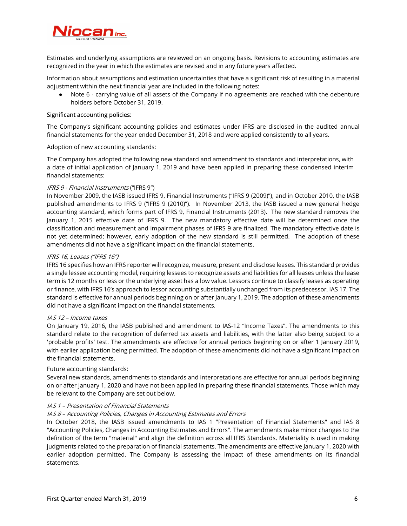

Estimates and underlying assumptions are reviewed on an ongoing basis. Revisions to accounting estimates are recognized in the year in which the estimates are revised and in any future years affected.

Information about assumptions and estimation uncertainties that have a significant risk of resulting in a material adjustment within the next financial year are included in the following notes:

Note 6 - carrying value of all assets of the Company if no agreements are reached with the debenture holders before October 31, 2019.

### Significant accounting policies:

The Company's significant accounting policies and estimates under IFRS are disclosed in the audited annual financial statements for the year ended December 31, 2018 and were applied consistently to all years.

### Adoption of new accounting standards:

The Company has adopted the following new standard and amendment to standards and interpretations, with a date of initial application of January 1, 2019 and have been applied in preparing these condensed interim financial statements:

## IFRS 9 - Financial Instruments ("IFRS 9")

In November 2009, the IASB issued IFRS 9, Financial Instruments ("IFRS 9 (2009)"), and in October 2010, the IASB published amendments to IFRS 9 ("IFRS 9 (2010)"). In November 2013, the IASB issued a new general hedge accounting standard, which forms part of IFRS 9, Financial Instruments (2013). The new standard removes the January 1, 2015 effective date of IFRS 9. The new mandatory effective date will be determined once the classification and measurement and impairment phases of IFRS 9 are finalized. The mandatory effective date is not yet determined; however, early adoption of the new standard is still permitted. The adoption of these amendments did not have a significant impact on the financial statements.

## IFRS 16, Leases ("IFRS 16")

IFRS 16 specifies how an IFRS reporter will recognize, measure, present and disclose leases. This standard provides a single lessee accounting model, requiring lessees to recognize assets and liabilities for all leases unless the lease term is 12 months or less or the underlying asset has a low value. Lessors continue to classify leases as operating or finance, with IFRS 16's approach to lessor accounting substantially unchanged from its predecessor, IAS 17. The standard is effective for annual periods beginning on or after January 1, 2019. The adoption of these amendments did not have a significant impact on the financial statements.

### IAS 12 – Income taxes

On January 19, 2016, the IASB published and amendment to IAS-12 "Income Taxes". The amendments to this standard relate to the recognition of deferred tax assets and liabilities, with the latter also being subject to a 'probable profits' test. The amendments are effective for annual periods beginning on or after 1 January 2019, with earlier application being permitted. The adoption of these amendments did not have a significant impact on the financial statements.

### Future accounting standards:

Several new standards, amendments to standards and interpretations are effective for annual periods beginning on or after January 1, 2020 and have not been applied in preparing these financial statements. Those which may be relevant to the Company are set out below.

## IAS 1 – Presentation of Financial Statements

# IAS 8 – Accounting Policies, Changes in Accounting Estimates and Errors

In October 2018, the IASB issued amendments to IAS 1 "Presentation of Financial Statements" and IAS 8 "Accounting Policies, Changes in Accounting Estimates and Errors". The amendments make minor changes to the definition of the term "material" and align the definition across all IFRS Standards. Materiality is used in making judgments related to the preparation of financial statements. The amendments are effective January 1, 2020 with earlier adoption permitted. The Company is assessing the impact of these amendments on its financial statements.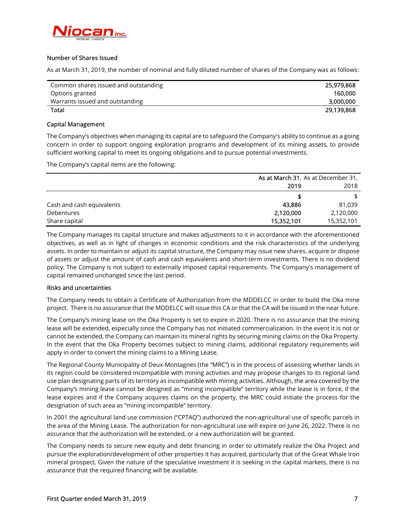

# Number of Shares Issued

As at March 31, 2019, the number of nominal and fully diluted number of shares of the Company was as follows:

| Common shares issued and outstanding | 25,979,868 |
|--------------------------------------|------------|
| Options granted                      | 160.000    |
| Warrants issued and outstanding      | 3,000,000  |
| <b>Total</b>                         | 29,139,868 |

## Capital Management

The Company's objectives when managing its capital are to safeguard the Company's ability to continue as a going concern in order to support ongoing exploration programs and development of its mining assets, to provide sufficient working capital to meet its ongoing obligations and to pursue potential investments.

The Company's capital items are the following:

|                           | As at March 31, As at December 31, |            |
|---------------------------|------------------------------------|------------|
|                           | 2019                               | 2018       |
|                           |                                    |            |
| Cash and cash equivalents | 43.886                             | 81,039     |
| <b>Debentures</b>         | 2,120,000                          | 2,120,000  |
| Share capital             | 15,352,101                         | 15,352,101 |

The Company manages its capital structure and makes adjustments to it in accordance with the aforementioned objectives, as well as in light of changes in economic conditions and the risk characteristics of the underlying assets. In order to maintain or adjust its capital structure, the Company may issue new shares, acquire or dispose of assets or adjust the amount of cash and cash equivalents and short-term investments. There is no dividend policy. The Company is not subject to externally imposed capital requirements. The Company's management of capital remained unchanged since the last period.

### Risks and uncertainties

The Company needs to obtain a Certificate of Authorization from the MDDELCC in order to build the Oka mine project. There is no assurance that the MDDELCC will issue this CA or that the CA will be issued in the near future.

The Company's mining lease on the Oka Property is set to expire in 2020. There is no assurance that the mining lease will be extended, especially since the Company has not initiated commercialization. In the event it is not or cannot be extended, the Company can maintain its mineral rights by securing mining claims on the Oka Property. In the event that the Oka Property becomes subject to mining claims, additional regulatory requirements will apply in order to convert the mining claims to a Mining Lease.

The Regional County Municipality of Deux-Montagnes (the "MRC") is in the process of assessing whether lands in its region could be considered incompatible with mining activities and may propose changes to its regional land use plan designating parts of its territory as incompatible with mining activities. Although, the area covered by the Company's mining lease cannot be designed as "mining incompatible" territory while the lease is in force, if the lease expires and if the Company acquires claims on the property, the MRC could initiate the process for the designation of such area as "mining incompatible" territory.

In 2001 the agricultural land use commission ("CPTAQ") authorized the non-agricultural use of specific parcels in the area of the Mining Lease. The authorization for non-agricultural use will expire on June 26, 2022. There is no assurance that the authorization will be extended, or a new authorization will be granted.

The Company needs to secure new equity and debt financing in order to ultimately realize the Oka Project and pursue the exploration/development of other properties it has acquired, particularly that of the Great Whale Iron mineral prospect. Given the nature of the speculative investment it is seeking in the capital markets, there is no assurance that the required financing will be available.